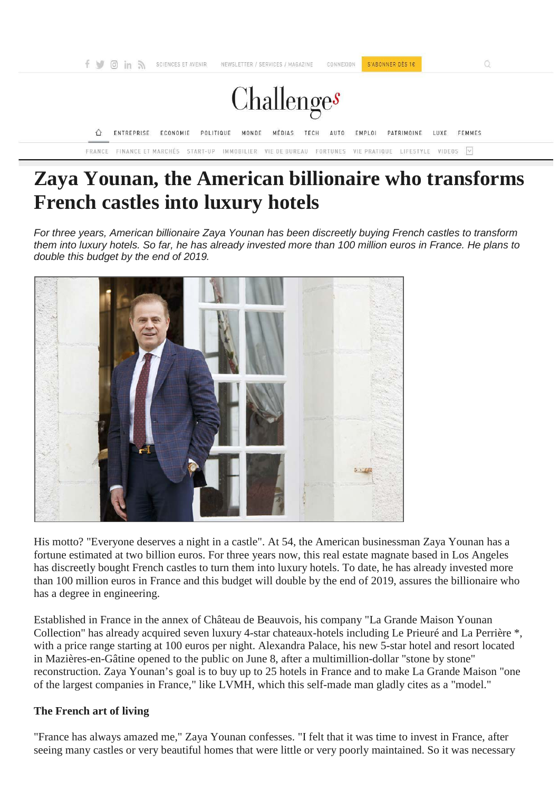

# **Zaya Younan, the American billionaire who transforms French castles into luxury hotels**

*For three years, American billionaire Zaya Younan has been discreetly buying French castles to transform them into luxury hotels. So far, he has already invested more than 100 million euros in France. He plans to double this budget by the end of 2019.*



His motto? "Everyone deserves a night in a castle". At 54, the American businessman Zaya Younan has a fortune estimated at two billion euros. For three years now, this real estate magnate based in Los Angeles has discreetly bought French castles to turn them into luxury hotels. To date, he has already invested more than 100 million euros in France and this budget will double by the end of 2019, assures the billionaire who has a degree in engineering.

Established in France in the annex of Château de Beauvois, his company "La Grande Maison Younan Collection" has already acquired seven luxury 4-star chateaux-hotels including Le Prieuré and La Perrière \*, with a price range starting at 100 euros per night. Alexandra Palace, his new 5-star hotel and resort located in Mazières-en-Gâtine opened to the public on June 8, after a multimillion-dollar "stone by stone" reconstruction. Zaya Younan's goal is to buy up to 25 hotels in France and to make La Grande Maison "one of the largest companies in France," like LVMH, which this self-made man gladly cites as a "model."

## **The French art of living**

"France has always amazed me," Zaya Younan confesses. "I felt that it was time to invest in France, after seeing many castles or very beautiful homes that were little or very poorly maintained. So it was necessary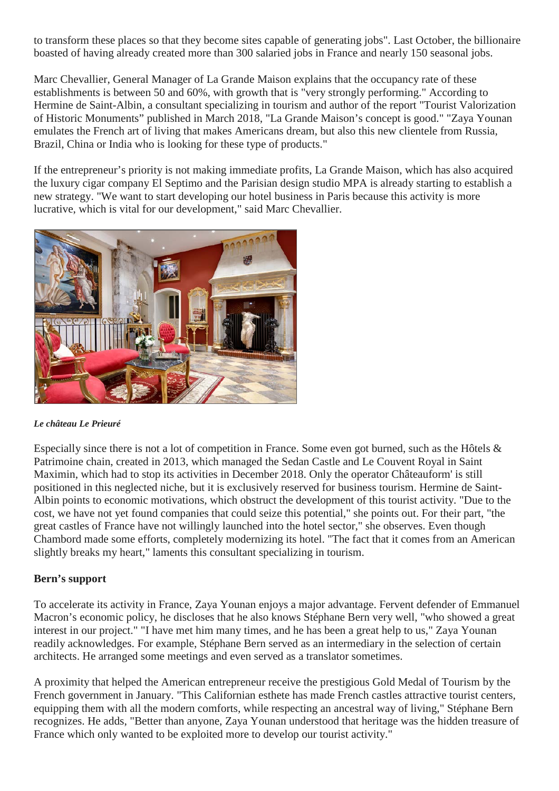to transform these places so that they become sites capable of generating jobs". Last October, the billionaire boasted of having already created more than 300 salaried jobs in France and nearly 150 seasonal jobs.

Marc Chevallier, General Manager of La Grande Maison explains that the occupancy rate of these establishments is between 50 and 60%, with growth that is "very strongly performing." According to Hermine de Saint-Albin, a consultant specializing in tourism and author of the report "Tourist Valorization of Historic Monuments" published in March 2018, "La Grande Maison's concept is good." "Zaya Younan emulates the French art of living that makes Americans dream, but also this new clientele from Russia, Brazil, China or India who is looking for these type of products."

If the entrepreneur's priority is not making immediate profits, La Grande Maison, which has also acquired the luxury cigar company El Septimo and the Parisian design studio MPA is already starting to establish a new strategy. "We want to start developing our hotel business in Paris because this activity is more lucrative, which is vital for our development," said Marc Chevallier.



#### *Le château Le Prieuré*

Especially since there is not a lot of competition in France. Some even got burned, such as the Hôtels & Patrimoine chain, created in 2013, which managed the Sedan Castle and Le Couvent Royal in Saint Maximin, which had to stop its activities in December 2018. Only the operator Châteauform' is still positioned in this neglected niche, but it is exclusively reserved for business tourism. Hermine de Saint-Albin points to economic motivations, which obstruct the development of this tourist activity. "Due to the cost, we have not yet found companies that could seize this potential," she points out. For their part, "the great castles of France have not willingly launched into the hotel sector," she observes. Even though Chambord made some efforts, completely modernizing its hotel. "The fact that it comes from an American slightly breaks my heart," laments this consultant specializing in tourism.

## **Bern's support**

To accelerate its activity in France, Zaya Younan enjoys a major advantage. Fervent defender of Emmanuel Macron's economic policy, he discloses that he also knows Stéphane Bern very well, "who showed a great interest in our project." "I have met him many times, and he has been a great help to us," Zaya Younan readily acknowledges. For example, Stéphane Bern served as an intermediary in the selection of certain architects. He arranged some meetings and even served as a translator sometimes.

A proximity that helped the American entrepreneur receive the prestigious Gold Medal of Tourism by the French government in January. "This Californian esthete has made French castles attractive tourist centers, equipping them with all the modern comforts, while respecting an ancestral way of living," Stéphane Bern recognizes. He adds, "Better than anyone, Zaya Younan understood that heritage was the hidden treasure of France which only wanted to be exploited more to develop our tourist activity."